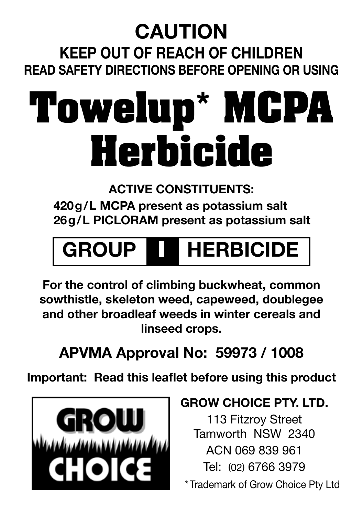### **CAUTION**

**Keep out of reach of children Read safety directions before opening or using**

## **Towelup\* MCPA Herbicide**

**ACTIVE CONSTITUENTS:**

**420g/L MCPA present as potassium salt 26g/L PICLORAM present as potassium salt**

### **GROUP** I **HERBICIDE**

**For the control of climbing buckwheat, common sowthistle, skeleton weed, capeweed, doublegee and other broadleaf weeds in winter cereals and linseed crops.**

#### **APVMA Approval No: 59973 / 1008**

**Important: Read this leaflet before using this product**



#### **GROW CHOICE PTY. LTD.**

113 Fitzroy Street Tamworth NSW 2340 ACN 069 839 961 Tel: (02) 6766 3979 \* Trademark of Grow Choice Pty Ltd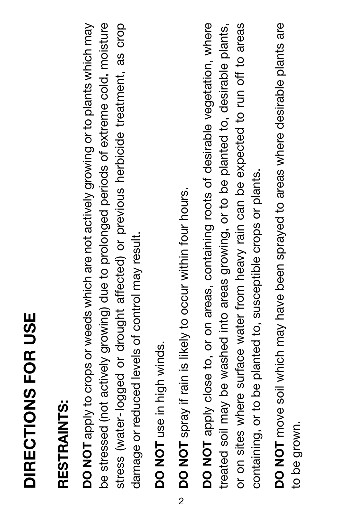# DIRECTIONS FOR USE **DIRECTIONS FOR USE**

## RESTRAINTS: **RESTRAINTS:**

**DO NOT** apply to crops or weeds which are not actively growing or to plants which may be stressed (not actively growing) due to prolonged periods of extreme cold, moisture stress (water-logged or drought affected) or previous herbicide treatment, as crop DO NOT apply to crops or weeds which are not actively growing or to plants which may be stressed (not actively growing) due to prolonged periods of extreme cold, moisture stress (water-logged or drought affected) or previous herbicide treatment, as crop damage or reduced levels of control may result. damage or reduced levels of control may result.

DO NOT use in high winds. **DO NOT** use in high winds. <sup>12</sup> DO NOT spray if rain is likely to occur within four hours. **DO NOT** spray if rain is likely to occur within four hours. DO NOT apply close to, or on areas, containing roots of desirable vegetation, where **DO NOT** apply close to, or on areas, containing roots of desirable vegetation, where treated soil may be washed into areas growing, or to be planted to, desirable plants, or on sites where surface water from heavy rain can be expected to run off to areas treated soil may be washed into areas growing, or to be planted to, desirable plants, or on sites where surface water from heavy rain can be expected to run off to areas containing, or to be planted to, susceptible crops or plants. containing, or to be planted to, susceptible crops or plants.

DO NOT move soil which may have been sprayed to areas where desirable plants are **DO NOT** move soil which may have been sprayed to areas where desirable plants are to be grown. to be grown.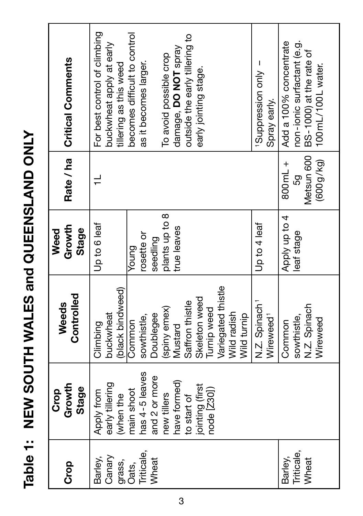Table 1: NEW SOUTH WALES and QUEENSLAND ONLY **Table 1: NEW SOUTH WALES and QUEENSLAND ONLY**

| Barley,<br>င်္ | Growth<br><b>Stage</b><br>Crop                                               | Controlled<br>Weeds                                                                                             | Growth<br><b>Stage</b><br>Weed  |                                          | Rate / ha   Critical Comments                                                                             |
|----------------|------------------------------------------------------------------------------|-----------------------------------------------------------------------------------------------------------------|---------------------------------|------------------------------------------|-----------------------------------------------------------------------------------------------------------|
|                | early tillering<br>Apply from<br>when the                                    | (black bindweed)<br>buckwheat<br>Climbing                                                                       | Up to 6 leaf                    |                                          | For best control of climbing<br>buckwheat apply at early<br>tillering as this weed                        |
|                | has 4-5 leaves<br>and 2 or more<br>main shoot                                | Doublegee<br>sowthistle,<br>Common                                                                              | rosette or<br>seedling<br>Young |                                          | becomes difficult to control<br>as it becomes larger.                                                     |
|                | have formed)<br>jointing (first<br>node [Z30])<br>new tillers<br>to start of | Variegated thistle<br>Skeleton weed<br>Saffron thistle<br>(spiny emex)<br>Turnip weed<br>Wild radish<br>Mustard | plants up to 8<br>true leaves   |                                          | outside the early tillering to<br>damage, DO NOT spray<br>To avoid possible crop<br>early jointing stage. |
|                |                                                                              | N.Z. Spinach <sup>1</sup><br>Wild turnip<br>Wireweed <sup>1</sup>                                               | Up to 4 leaf                    |                                          | - Viuo uoissanddn <sub>S</sub><br>Spray early.                                                            |
|                |                                                                              | N.Z. Spinach<br>sowthistle,<br>Wireweed<br>Common                                                               | Apply up to 4<br>leaf stage     | Metsun 600<br>(600g/kg)<br>800mL +<br>50 | non-ionic surfactant (e.g.<br>Add a 100% concentrate<br>BS-1000) at the rate of<br>100mL/100L water.      |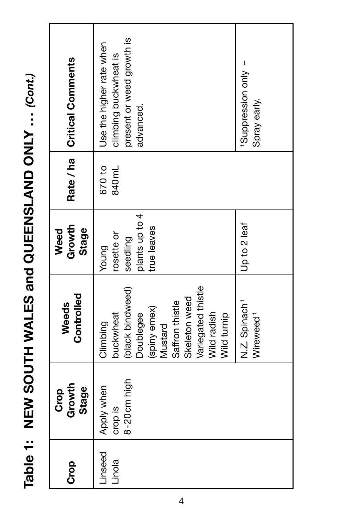Table 1: NEW SOUTH WALES and QUEENSLAND ONLY ... (Cont.) **Table 1: NEW SOUTH WALES and QUEENSLAND ONLY ...** *(Cont.)*

| Linseed | Growth<br><b>Stage</b><br>Crop       | Controlled<br>Weeds                                                                                                                                                       | Growth<br><b>Stage</b><br>Weed                                  |                              | Rate / ha   Critical Comments                                                               |
|---------|--------------------------------------|---------------------------------------------------------------------------------------------------------------------------------------------------------------------------|-----------------------------------------------------------------|------------------------------|---------------------------------------------------------------------------------------------|
|         | 8-20cm high<br>Apply when<br>crop is | Variegated thistle<br>(black bindweed)<br>Skeleton weed<br>Saffron thistle<br>(spiny emex)<br>Wild radish<br>Wild turnip<br>buckwheat<br>Doublegee<br>Climbing<br>Mustard | plants up to 4<br>true leaves<br>osette or<br>seedling<br>Young | 670 to<br>840 <sub>m</sub> L | present or weed growth is<br>Use the higher rate when<br>climbing buckwheat is<br>advanced. |
|         |                                      | N.Z. Spinach <sup>1</sup><br>Wireweed <sup>1</sup>                                                                                                                        | Up to 2 leaf                                                    |                              | - Nuo uoissanddn <sub>s</sub><br>Spray early.                                               |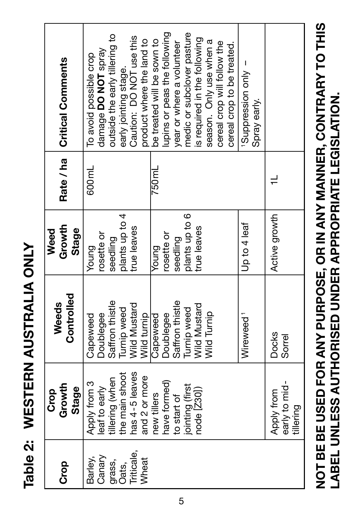Table 2: WESTERN AUSTRALIA ONLY **Table 2: WESTERN AUSTRALIA ONLY**

| င်င                                                         | Growth<br><b>Stage</b><br>Crop                                                                                       | Controlled<br>Weeds                                                                                | Growth<br><b>Stage</b><br>Weed                                            | Rate / ha       | <b>Critical Comments</b>                                                                                                                                                                                                                             |
|-------------------------------------------------------------|----------------------------------------------------------------------------------------------------------------------|----------------------------------------------------------------------------------------------------|---------------------------------------------------------------------------|-----------------|------------------------------------------------------------------------------------------------------------------------------------------------------------------------------------------------------------------------------------------------------|
| Triticale,<br>Canary<br>Barley,<br>Wheat<br>grass,<br>Oats, | tillering (when<br>the main shoot<br>has 4-5 leaves<br>and 2 or more<br>Apply from 3<br>leaf to early<br>new tillers | Saffron thistle<br>Wild Mustard<br>Turnip weed<br>Doublegee<br>Wild turnip<br>Capeweed<br>Capeweed | plants up to 4<br>true leaves<br>rosette or<br>seedling<br>Young<br>Young | 600ml<br>750 ml | outside the early tillering to<br>Caution: DO NOT use this<br>product where the land to<br>be treated will be sown to<br>damage DO NOT spray<br>To avoid possible crop<br>early jointing stage.                                                      |
|                                                             | have formed)<br>jointing (first<br>node [Z30])<br>to start of                                                        | Saffron thistle<br>Wild Mustard<br>Turnip weed<br><b>Wild Turnip</b><br>Doublegee<br>Wireweed      | plants up to 6<br>Up to 4 leaf<br>true leaves<br>rosette or<br>seedling   |                 | lupins or peas the following<br>medic or subclover pasture<br>s required in the following<br>season. Only use when a<br>year or where a volunteer<br>cereal crop will follow the<br>cereal crop to be treated.<br>- Suppression only<br>Spray early. |
|                                                             | early to mid-<br>Apply from<br>tillering                                                                             | Docks<br>Sorrel                                                                                    | Active growth                                                             |                 |                                                                                                                                                                                                                                                      |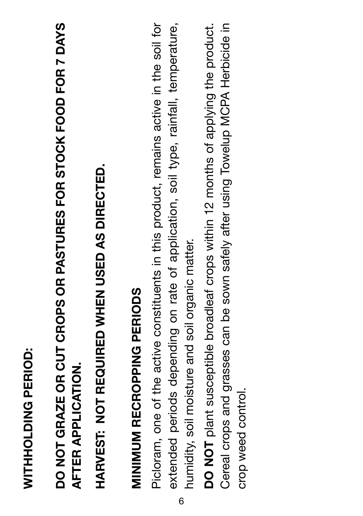WITHHOLDING PERIOD: **WITHHOLDING PERIOD:** DO NOT GRAZE OR CUT CROPS OR PASTURES FOR STOCK FOOD FOR 7 DAYS **DO NOT GRAZE OR CUT CROPS OR PASTURES FOR STOCK FOOD FOR 7 DAYS AFTER APPLICATION. AFTER APPLICATION.**

HARVEST: NOT REQUIRED WHEN USED AS DIRECTED. **HARVEST: NOT REQUIRED WHEN USED AS DIRECTED.**

# **MINIMUM RECROPPING PERIODS MINIMUM RECROPPING PERIODS**

Picloram, one of the active constituents in this product, remains active in the soil for extended periods depending on rate of application, soil type, rainfall, temperature, Picloram, one of the active constituents in this product, remains active in the soil for extended periods depending on rate of application, soil type, rainfall, temperature, humidity, soil moisture and soil organic matter. humidity, soil moisture and soil organic matter. 6

**DO NOT** plant susceptible broadleaf crops within 12 months of applying the product. Cereal crops and grasses can be sown safely after using Towelup MCPA Herbicide in Cereal crops and grasses can be sown safely after using Towelup MCPA Herbicide in DO NOT plant susceptible broadleaf crops within 12 months of applying the product. crop weed control. crop weed control.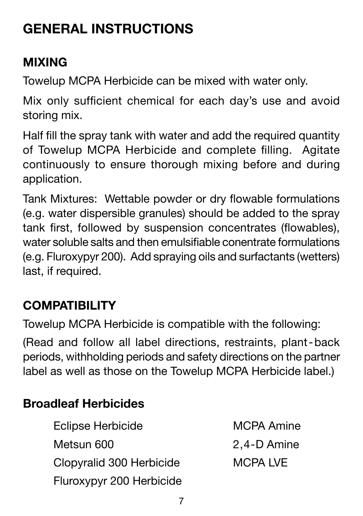#### **GENERAL INSTRUCTIONS**

#### **MIXING**

Towelup MCPA Herbicide can be mixed with water only.

Mix only sufficient chemical for each day's use and avoid storing mix.

Half fill the spray tank with water and add the required quantity of Towelup MCPA Herbicide and complete filling. Agitate continuously to ensure thorough mixing before and during application.

Tank Mixtures: Wettable powder or dry flowable formulations (e.g. water dispersible granules) should be added to the spray tank first, followed by suspension concentrates (flowables), water soluble salts and then emulsifiable conentrate formulations (e.g. Fluroxypyr 200). Add spraying oils and surfactants (wetters) last, if required.

#### **COMPATIBILITY**

Towelup MCPA Herbicide is compatible with the following:

(Read and follow all label directions, restraints, plant-back periods, withholding periods and safety directions on the partner label as well as those on the Towelup MCPA Herbicide label.)

#### **Broadleaf Herbicides**

- Eclipse Herbicide **MCPA** Amine Metsun 600 2,4-D Amine Clopyralid 300 Herbicide MCPA LVE Fluroxypyr 200 Herbicide
-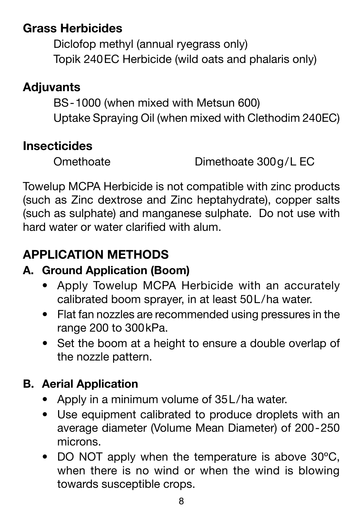#### **Grass Herbicides**

Diclofop methyl (annual ryegrass only) Topik 240EC Herbicide (wild oats and phalaris only)

#### **Adjuvants**

BS-1000 (when mixed with Metsun 600) Uptake Spraying Oil (when mixed with Clethodim 240EC)

#### **Insecticides**

Omethoate Dimethoate 300g/L EC

Towelup MCPA Herbicide is not compatible with zinc products (such as Zinc dextrose and Zinc heptahydrate), copper salts (such as sulphate) and manganese sulphate. Do not use with hard water or water clarified with alum.

#### **APPLICATION METHODS**

#### **A. Ground Application (Boom)**

- Apply Towelup MCPA Herbicide with an accurately calibrated boom sprayer, in at least 50L/ha water.
- Flat fan nozzles are recommended using pressures in the range 200 to 300kPa.
- Set the boom at a height to ensure a double overlap of the nozzle pattern.

#### **B. Aerial Application**

- Apply in a minimum volume of 35L/ha water.
- Use equipment calibrated to produce droplets with an average diameter (Volume Mean Diameter) of 200-250 microns.
- DO NOT apply when the temperature is above 30°C. when there is no wind or when the wind is blowing towards susceptible crops.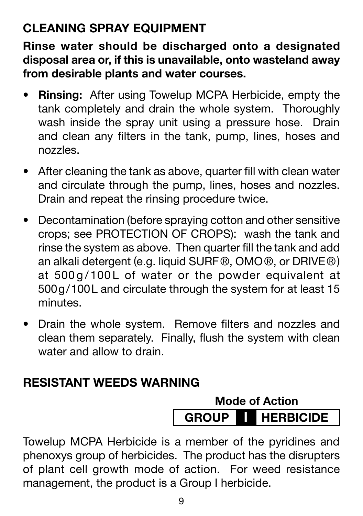#### **CLEANING SPRAY EQUIPMENT**

**Rinse water should be discharged onto a designated disposal area or, if this is unavailable, onto wasteland away from desirable plants and water courses.**

- • **Rinsing:** After using Towelup MCPA Herbicide, empty the tank completely and drain the whole system. Thoroughly wash inside the spray unit using a pressure hose. Drain and clean any filters in the tank, pump, lines, hoses and nozzles.
- After cleaning the tank as above, quarter fill with clean water and circulate through the pump, lines, hoses and nozzles. Drain and repeat the rinsing procedure twice.
- Decontamination (before spraying cotton and other sensitive crops; see PROTECTION OF CROPS): wash the tank and rinse the system as above. Then quarter fill the tank and add an alkali detergent (e.g. liquid SURF®, OMO®, or DRIVE®) at 500 g/100L of water or the powder equivalent at 500g/100L and circulate through the system for at least 15 minutes.
- • Drain the whole system. Remove filters and nozzles and clean them separately. Finally, flush the system with clean water and allow to drain.

#### **RESISTANT WEEDS WARNING**



Towelup MCPA Herbicide is a member of the pyridines and phenoxys group of herbicides. The product has the disrupters of plant cell growth mode of action. For weed resistance management, the product is a Group I herbicide.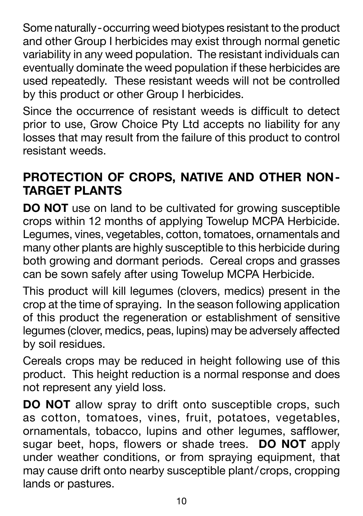Some naturally-occurring weed biotypes resistant to the product and other Group I herbicides may exist through normal genetic variability in any weed population. The resistant individuals can eventually dominate the weed population if these herbicides are used repeatedly. These resistant weeds will not be controlled by this product or other Group I herbicides.

Since the occurrence of resistant weeds is difficult to detect prior to use, Grow Choice Pty Ltd accepts no liability for any losses that may result from the failure of this product to control resistant weeds.

#### **PROTECTION OF CROPS, NATIVE AND OTHER NON-TARGET PLANTS**

**DO NOT** use on land to be cultivated for growing susceptible crops within 12 months of applying Towelup MCPA Herbicide. Legumes, vines, vegetables, cotton, tomatoes, ornamentals and many other plants are highly susceptible to this herbicide during both growing and dormant periods. Cereal crops and grasses can be sown safely after using Towelup MCPA Herbicide.

This product will kill legumes (clovers, medics) present in the crop at the time of spraying. In the season following application of this product the regeneration or establishment of sensitive legumes (clover, medics, peas, lupins) may be adversely affected by soil residues.

Cereals crops may be reduced in height following use of this product. This height reduction is a normal response and does not represent any yield loss.

**DO NOT** allow spray to drift onto susceptible crops, such as cotton, tomatoes, vines, fruit, potatoes, vegetables, ornamentals, tobacco, lupins and other legumes, safflower, sugar beet, hops, flowers or shade trees. **DO NOT** apply under weather conditions, or from spraying equipment, that may cause drift onto nearby susceptible plant/crops, cropping lands or pastures.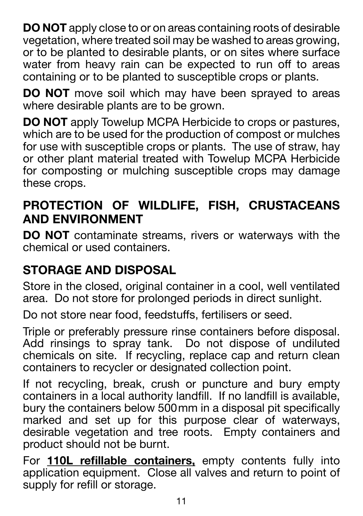**DO NOT** apply close to or on areas containing roots of desirable vegetation, where treated soil may be washed to areas growing, or to be planted to desirable plants, or on sites where surface water from heavy rain can be expected to run off to areas containing or to be planted to susceptible crops or plants.

**DO NOT** move soil which may have been sprayed to areas where desirable plants are to be grown.

**DO NOT** apply Towelup MCPA Herbicide to crops or pastures, which are to be used for the production of compost or mulches for use with susceptible crops or plants. The use of straw, hay or other plant material treated with Towelup MCPA Herbicide for composting or mulching susceptible crops may damage these crops.

#### **PROTECTION OF WILDLIFE, FISH, CRUSTACEANS AND ENVIRONMENT**

**DO NOT** contaminate streams, rivers or waterways with the chemical or used containers.

#### **STORAGE AND DISPOSAL**

Store in the closed, original container in a cool, well ventilated area. Do not store for prolonged periods in direct sunlight.

Do not store near food, feedstuffs, fertilisers or seed.

Triple or preferably pressure rinse containers before disposal. Add rinsings to spray tank. Do not dispose of undiluted chemicals on site. If recycling, replace cap and return clean containers to recycler or designated collection point.

If not recycling, break, crush or puncture and bury empty containers in a local authority landfill. If no landfill is available, bury the containers below 500mm in a disposal pit specifically marked and set up for this purpose clear of waterways, desirable vegetation and tree roots. Empty containers and product should not be burnt.

For **110L refillable containers,** empty contents fully into application equipment. Close all valves and return to point of supply for refill or storage.